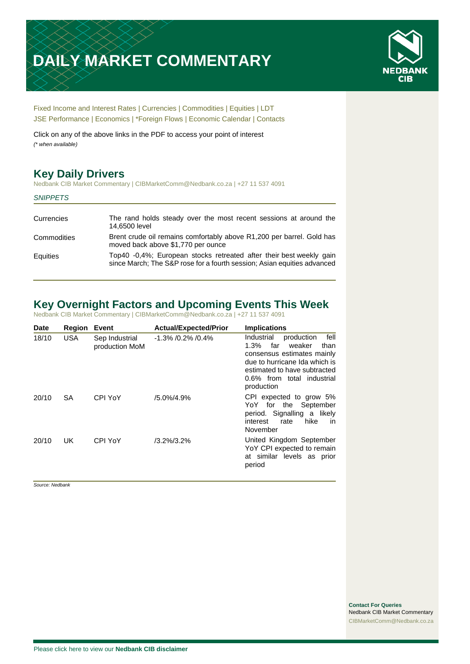# **DAILY MARKET COMMENTARY**



[Fixed Income and Interest Rates](#page-1-0) | [Currencies](#page-2-0) | [Commodities](#page-3-0) [| Equities](#page-4-0) | [LDT](#page-5-0) [JSE Performance](#page-6-0) [| Economics](#page-7-0) | [\\*Foreign Flows](#page-7-0) | [Economic Calendar](#page-8-0) | [Contacts](#page-9-0)

Click on any of the above links in the PDF to access your point of interest *(\* when available)*

## **Key Daily Drivers**

Nedbank CIB Market Commentary | CIBMarketComm@Nedbank.co.za | +27 11 537 4091

|  | <b>SNIPPETS</b> |  |
|--|-----------------|--|
|--|-----------------|--|

| Currencies  | The rand holds steady over the most recent sessions at around the<br>14,6500 level                                                             |
|-------------|------------------------------------------------------------------------------------------------------------------------------------------------|
| Commodities | Brent crude oil remains comfortably above R1,200 per barrel. Gold has<br>moved back above \$1,770 per ounce                                    |
| Equities    | Top40 -0.4%; European stocks retreated after their best weekly gain<br>since March; The S&P rose for a fourth session; Asian equities advanced |

## **Key Overnight Factors and Upcoming Events This Week**

Nedbank CIB Market Commentary | CIBMarketComm@Nedbank.co.za | +27 11 537 4091

| <b>Date</b> | <b>Region</b> | Event                            | <b>Actual/Expected/Prior</b> | <b>Implications</b>                                                                                                                                                                                             |
|-------------|---------------|----------------------------------|------------------------------|-----------------------------------------------------------------------------------------------------------------------------------------------------------------------------------------------------------------|
| 18/10       | <b>USA</b>    | Sep Industrial<br>production MoM | $-1.3\%$ /0.2% /0.4%         | fell<br>Industrial<br>production<br>weaker<br>than<br>far<br>$1.3\%$<br>consensus estimates mainly<br>due to hurricane Ida which is<br>estimated to have subtracted<br>0.6% from total industrial<br>production |
| 20/10       | <b>SA</b>     | CPI YoY                          | $/5.0\%/4.9\%$               | CPI expected to grow 5%<br>YoY for the September<br>period. Signalling a likely<br>hike<br>interest<br>rate<br>in.<br>November                                                                                  |
| 20/10       | UK.           | CPI YoY                          | $/3.2\%/3.2\%$               | United Kingdom September<br>YoY CPI expected to remain<br>at similar levels as prior<br>period                                                                                                                  |

*Source: Nedbank*

**Contact For Queries** Nedbank CIB Market Commentary [CIBMarketComm@Nedbank.co.za](file:///C:/Users/Paul-Rose/AppData/Roaming/Bluecurve/templates/CIBMarketComm@Nedbank.co.za)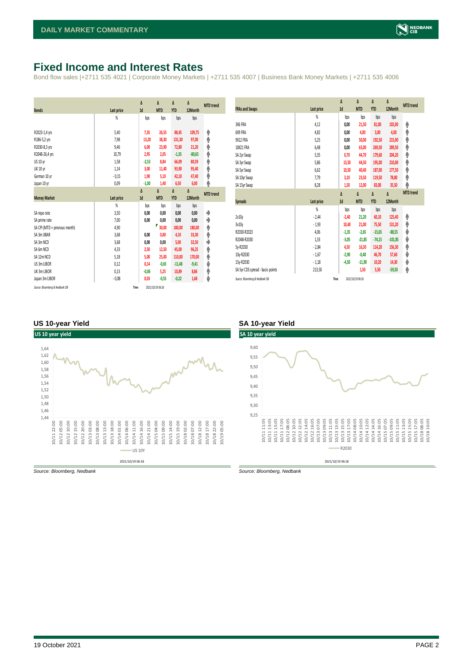## <span id="page-1-0"></span>**Fixed Income and Interest Rates**

Bond flow sales |+2711 535 4021 | Corporate Money Markets | +2711 535 4007 | Business Bank Money Markets | +2711 535 4006

| <b>Bonds</b>                  | Last price        | Δ<br>1d | Δ<br><b>MTD</b> | Δ<br><b>YTD</b> | Δ<br>12Month | <b>MTD</b> trend |
|-------------------------------|-------------------|---------|-----------------|-----------------|--------------|------------------|
|                               | %                 | bps     | bps             | bps             | bps          |                  |
| R2023-1,4 yrs                 | 5.40              | 7,35    | 26,55           | 88,45           | 109,75       | ۸                |
| R186-5,2 yrs                  | 7,98              | 13,20   | 38,30           | 131,30          | 97,00        | ۸                |
| R2030-8,3 yrs                 | 9,46              | 6,00    | 23,90           | 72,80           | 21,20        | φ                |
| R2048-26,4 yrs                | 10,79             | 2,95    | 2,05            | $-1,35$         | $-80,65$     | φ                |
| <b>US 10 vr</b>               | 1,58              | $-2,53$ | 8,84            | 66,09           | 80,59        | φ                |
| <b>UK 10 yr</b>               | 1,14              | 3,00    | 11,40           | 93,90           | 95,40        | φ                |
| German 10 yr                  | $-0,15$           | 1,90    | 5,10            | 42,10           | 47,40        | ۸                |
| Japan 10 yr                   | 0,09              | $-1,00$ | 1,40            | 6,50            | 6,00         | φ                |
|                               |                   | Δ       | Δ               | Δ               | Δ            | <b>MTD</b> trend |
| <b>Money Market</b>           | <b>Last price</b> | 1d      | <b>MTD</b>      | <b>YTD</b>      | 12Month      |                  |
|                               |                   |         |                 |                 |              |                  |
|                               | $\frac{9}{20}$    | bps     | bps             | bps             | bps          |                  |
| SA repo rate                  | 3,50              | 0,00    | 0,00            | 0,00            | 0,00         | ۰                |
| SA prime rate                 | 7,00              | 0,00    | 0,00            | 0,00            | 0,00         | ♦                |
| SA CPI (MTD = previous month) | 4,90              |         | ₹<br>30,00      | 180,00          | 180,00       | ۸                |
| SA 3m JIBAR                   | 3,68              | 0.00    | 0,80            | 4,10            | 33,30        | ۸                |
| SA 3m NCD                     | 3,68              | 0,00    | 0,00            | 5,00            | 32,50        | ٠                |
| SA 6m NCD                     | 4,33              | 2,50    | 12,50           | 45,00           | 96,25        | ۸                |
| SA 12m NCD                    | 5,18              | 5,00    | 25,00           | 110,00          | 170,00       | ۸                |
| US 3m LIBOR                   | 0,12              | 0,14    | $-0,65$         | $-11,48$        | $-9,41$      | ψ                |
| UK 3m LIBOR                   | 0,13              | $-0,06$ | 5,25            | 10,89           | 8,86         | ۸                |
| Japan 3m LIBOR                | $-0.08$           | 0,03    | $-0,55$         | $-0,22$         | 1,68         | ψ                |

| <b>FRAs and Swaps</b>            | Last price     | Δ<br>1d | Δ<br><b>MTD</b> | Δ<br><b>YTD</b> | Δ<br>12Month | <b>MTD</b> trend |
|----------------------------------|----------------|---------|-----------------|-----------------|--------------|------------------|
|                                  | %              | bps     | bps             | bps             | bps          |                  |
| 3X6 FRA                          | 4,12           | 0,00    | 21,50           | 81,00           | 102,00       | ۸                |
| 6X9 FRA                          | 4,82           | 0,00    | 4,00            | 3,00            | 4,00         | ۸                |
| 9X12 FRA                         | 5.25           | 0,00    | 50,00           | 192,50          | 215,00       | φ                |
| 18X21 FRA                        | 6,48           | 0,00    | 63,00           | 269,50          | 289,50       | φ                |
| SA 2yr Swap                      | 5,35           | 0,70    | 44,70           | 179,60          | 204,20       | ۸                |
| SA 3yr Swap                      | 5,86           | 13,50   | 44,50           | 195,00          | 210,00       | φ                |
| SA 5yr Swap                      | 6,62           | 10,50   | 40,40           | 187,00          | 177,50       | ۸                |
| SA 10yr Swap                     | 7,79           | 3,10    | 23,50           | 119,50          | 78,80        | φ                |
| SA 15yr Swap                     | 8,28           | 1,50    | 12,00           | 83,00           | 35,50        | ۸                |
|                                  |                | Δ       | Δ               | Δ               | Δ            | <b>MTD</b> trend |
|                                  |                |         |                 |                 |              |                  |
| <b>Spreads</b>                   | Last price     | 1d      | <b>MTD</b>      | <b>YTD</b>      | 12Month      |                  |
|                                  | $\frac{9}{20}$ | bps     | bps             | bps             | bps          |                  |
| 2v10v                            | $-2,44$        | $-2,40$ | 21,20           | 60,10           | 125,40       | ۸                |
| 3v10y                            | $-1,93$        | 10,40   | 21,00           | 75,50           | 131,20       | ٨                |
| R2030-R2023                      | 4,06           | $-1,35$ | $-2,65$         | $-15,65$        | $-88,55$     | ψ                |
| R2048-R2030                      | 1,33           | $-3,05$ | $-21,85$        | $-74,15$        | $-101,85$    | ψ                |
| 5y-R2030                         | $-2,84$        | 4,50    | 16,50           | 114,20          | 156,30       | φ                |
| 10y-R2030                        | $-1,67$        | $-2,90$ | $-0,40$         | 46,70           | 57,60        | ψ                |
| 15y-R2030                        | $-1,18$        | $-4,50$ | $-11,90$        | 10,20           | 14,30        | ψ                |
| SA 5yr CDS spread - basis points | 213,50         |         | 1,50            | 5,50            | $-59,50$     | ۸                |

#### **US 10-year Yield SA 10-year Yield**



*Source: Bloomberg, Nedbank Source: Bloomberg, Nedbank*

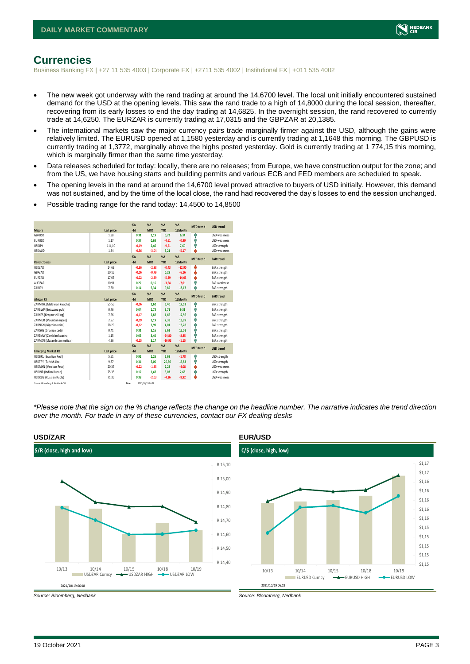

## <span id="page-2-0"></span>**Currencies**

Business Banking FX | +27 11 535 4003 | Corporate FX | +2711 535 4002 | Institutional FX | +011 535 4002

- The new week got underway with the rand trading at around the 14,6700 level. The local unit initially encountered sustained demand for the USD at the opening levels. This saw the rand trade to a high of 14,8000 during the local session, thereafter, recovering from its early losses to end the day trading at 14,6825. In the overnight session, the rand recovered to currently trade at 14,6250. The EURZAR is currently trading at 17,0315 and the GBPZAR at 20,1385.
- The international markets saw the major currency pairs trade marginally firmer against the USD, although the gains were relatively limited. The EURUSD opened at 1,1580 yesterday and is currently trading at 1,1648 this morning. The GBPUSD is currently trading at 1,3772, marginally above the highs posted yesterday. Gold is currently trading at 1 774,15 this morning, which is marginally firmer than the same time yesterday.
- Data releases scheduled for today: locally, there are no releases; from Europe, we have construction output for the zone; and from the US, we have housing starts and building permits and various ECB and FED members are scheduled to speak.
- The opening levels in the rand at around the 14,6700 level proved attractive to buyers of USD initially. However, this demand was not sustained, and by the time of the local close, the rand had recovered the day's losses to end the session unchanged.
- Possible trading range for the rand today: 14,4500 to 14,8500

| <b>Majors</b>                   | Last price | X <sub>A</sub><br>$-1d$ | X <sub>A</sub><br><b>MTD</b> | $\%$ $\Lambda$<br><b>YTD</b> | %<br>12Month | <b>MTD</b> trend | <b>USD trend</b>    |
|---------------------------------|------------|-------------------------|------------------------------|------------------------------|--------------|------------------|---------------------|
| GBPUSD                          | 1.38       | 0.31                    | 2.19                         | 0.72                         | 6,34         | ÷                | <b>USD</b> weakness |
| <b>EURUSD</b>                   | 1.17       | 0.37                    | 0.63                         | $-4,61$                      | $-0,99$      | ٨                | <b>USD</b> weakness |
| <b>LISDIPY</b>                  | 114.10     | $-0.19$                 | 2.46                         | $-9,51$                      | 7.60         | Φ                | USD strength        |
| <b>USDAUD</b>                   | 1,34       | $-0,56$                 | $-3,04$                      | 3,21                         | $-5,17$      | ٤                | USD weakness        |
|                                 |            | X <sub>A</sub>          | X <sub>A</sub>               | $% \Delta$                   | $% \Delta$   | <b>MTD</b> trend | ZAR trend           |
| <b>Rand crosses</b>             | Last price | $-1d$                   | <b>MTD</b>                   | <b>YTD</b>                   | 12Month      |                  |                     |
| <b>USDZAR</b>                   | 14.63      | $-0.36$                 | $-2,98$                      | $-0.43$                      | $-12,90$     | ÷                | ZAR strength        |
| <b>GRP7AR</b>                   | 20,15      | $-0.06$                 | $-0,79$                      | 0,29                         | $-6,16$      | ÷                | ZAR strength        |
| FUR7AR                          | 17.05      | $-0.02$                 | $-2.39$                      | $-5,29$                      | $-14,03$     | s                | ZAR strength        |
| AUDZAR                          | 10,91      | 0.22                    | 0.16                         | $-3,64$                      | $-7,01$      | ٠                | <b>7AR</b> weakness |
| ZARJPY                          | 7,80       | 0.14                    | 5.34                         | 9,85                         | 18,17        | ۸                | ZAR strength        |
|                                 |            | X <sub>A</sub>          | X <sub>A</sub>               | $%$ $\Lambda$                | %            | <b>MTD</b> trend | <b>ZAR trend</b>    |
| <b>African FX</b>               | Last price | $-1d$                   | <b>MTD</b>                   | <b>YTD</b>                   | 12Month      |                  |                     |
| ZARMWK (Malawian kwacha)        | 55,50      | $-0.06$                 | 2.62                         | 5.40                         | 17,53        | Φ                | ZAR strength        |
| ZARBWP (Botswana pula)          | 0,76       | 0.04                    | 1.73                         | 3,71                         | 9,31         | ٨                | ZAR strength        |
| ZARKES (Kenyan shilling)        | 7,56       | $-0.17$                 | 2.87                         | 1,66                         | 12.56        | Φ                | ZAR strength        |
| ZARMUR (Mauritian rupee)        | 2,92       | $-0,09$                 | 3,19                         | 7,38                         | 16,99        | ٠                | ZAR strength        |
| ZARNGN (Nigerian naira)         | 28,20      | $-0,12$                 | 2,99                         | 4,01                         | 18,28        | Φ                | ZAR strength        |
| ZARGHS (Ghanian cedi)           | 0,41       | 0.31                    | 3,16                         | 3,62                         | 15,01        | ٠                | ZAR strength        |
| ZARZMW (Zambian kwacha)         | 1,15       | 0.03                    | 3,40                         | $-24,80$                     | $-8,85$      | Φ                | ZAR strength        |
| ZARMZN (Mozambican metical)     | 4,36       | $-0,15$                 | 3,17                         | $-16,93$                     | $-1,15$      | ۸                | ZAR strength        |
|                                 |            | X <sub>A</sub>          | X <sub>A</sub>               | $%$ $\Lambda$                | %            | <b>MTD</b> trend | <b>USD trend</b>    |
| <b>Emerging Market FX</b>       | Last price | $-1d$                   | <b>MTD</b>                   | <b>YTD</b>                   | 12Month      |                  |                     |
| <b>USDBRL (Brazilian Real)</b>  | 5,51       | 0.92                    | 1,26                         | 5,69                         | $-1,78$      | ٠                | USD strength        |
| <b>USDTRY (Turkish Lira)</b>    | 9,37       | 0.34                    | 5.05                         | 20,56                        | 15,83        | ٨                | USD strength        |
| USDMXN (Mexican Peso)           | 20,37      | $-0.22$                 | $-1,35$                      | 2,22                         | $-4,08$      | ٤                | <b>USD</b> weakness |
| <b>USDINR (Indian Rupee)</b>    | 75,35      | 0.12                    | 1.47                         | 3,03                         | 2,63         | Φ                | USD strength        |
| <b>USDRUB (Russian Ruble)</b>   | 71,30      | 0.38                    | $-2.03$                      | $-4,36$                      | $-8,92$      | ı                | USD weakness        |
| Source: Bloomberg & Nedbank CIB | Time       |                         | 2021/10/19 06:18             |                              |              |                  |                     |

*\*Please note that the sign on the % change reflects the change on the headline number. The narrative indicates the trend direction over the month. For trade in any of these currencies, contact our FX dealing desks*



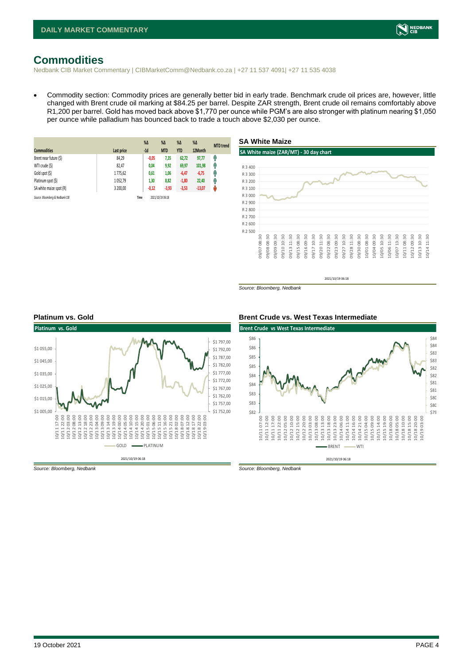## <span id="page-3-0"></span>**Commodities**

Nedbank CIB Market Commentary | CIBMarketComm@Nedbank.co.za | +27 11 537 4091| +27 11 535 4038

• Commodity section: Commodity prices are generally better bid in early trade. Benchmark crude oil prices are, however, little changed with Brent crude oil marking at \$84.25 per barrel. Despite ZAR strength, Brent crude oil remains comfortably above R1,200 per barrel. Gold has moved back above \$1,770 per ounce while PGM's are also stronger with platinum nearing \$1,050 per ounce while palladium has bounced back to trade a touch above \$2,030 per ounce.

| <b>Commodities</b>              | Last price | $%$ $\Delta$<br>$-1d$ | $\%$ $\Delta$<br><b>MTD</b> | $% \Delta$<br><b>YTD</b> | $\%$ $\Delta$<br>12Month | <b>MTD</b> trend |
|---------------------------------|------------|-----------------------|-----------------------------|--------------------------|--------------------------|------------------|
| Brent near future (\$)          | 84.29      | $-0,05$               | 7,35                        | 62,72                    | 97,77                    | Ĥ                |
| WTI crude (\$)                  | 82,47      | 0,04                  | 9,92                        | 69,97                    | 101,98                   | Ĥ                |
| Gold spot (\$)                  | 1775,62    | 0,61                  | 1,06                        | $-6,47$                  | $-6,75$                  | Ŧ                |
| Platinum spot (\$)              | 1052,79    | 1,30                  | 8,82                        | $-1,80$                  | 22,40                    | Ŵ                |
| SA white maize spot (R)         | 3 200,00   | $-0,12$               | $-3,93$                     | $-3,53$                  | $-13,07$                 | ۳                |
| Source: Bloomberg & Nedbank CIB |            | Time                  | 2021/10/19 06:18            |                          |                          |                  |



*Source: Bloomberg, Nedbank*





*Source: Bloomberg, Nedbank Source: Bloomberg, Nedbank*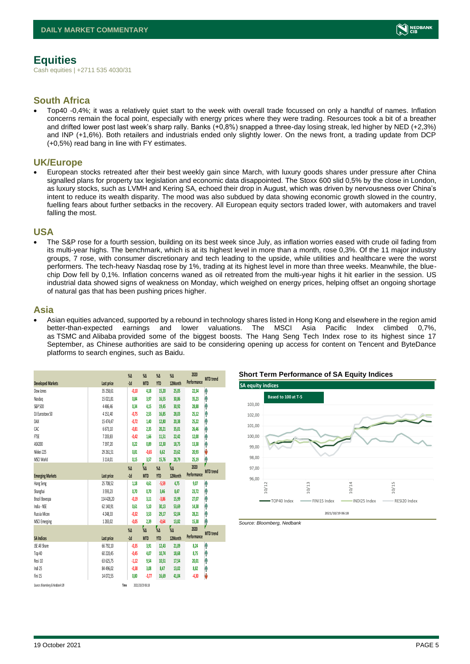## <span id="page-4-0"></span>**Equities**

Cash equities | +2711 535 4030/31

### **South Africa**

• Top40 -0,4%; it was a relatively quiet start to the week with overall trade focussed on only a handful of names. Inflation concerns remain the focal point, especially with energy prices where they were trading. Resources took a bit of a breather and drifted lower post last week's sharp rally. Banks (+0,8%) snapped a three-day losing streak, led higher by NED (+2,3%) and INP (+1,6%). Both retailers and industrials ended only slightly lower. On the news front, a trading update from DCP (+0,5%) read bang in line with FY estimates.

### **UK/Europe**

• European stocks retreated after their best weekly gain since March, with luxury goods shares under pressure after China signalled plans for property tax legislation and economic data disappointed. The Stoxx 600 slid 0,5% by the close in London, as luxury stocks, such as LVMH and Kering SA, echoed their drop in August, which was driven by nervousness over China's intent to reduce its wealth disparity. The mood was also subdued by data showing economic growth slowed in the country, fuelling fears about further setbacks in the recovery. All European equity sectors traded lower, with automakers and travel falling the most.

#### **USA**

• The S&P rose for a fourth session, building on its best week since July, as inflation worries eased with crude oil fading from its multi-year highs. The benchmark, which is at its highest level in more than a month, rose 0,3%. Of the 11 major industry groups, 7 rose, with consumer discretionary and tech leading to the upside, while utilities and healthcare were the worst performers. The tech-heavy Nasdaq rose by 1%, trading at its highest level in more than three weeks. Meanwhile, the bluechip Dow fell by 0,1%. Inflation concerns waned as oil retreated from the multi-year highs it hit earlier in the session. US industrial data showed signs of weakness on Monday, which weighed on energy prices, helping offset an ongoing shortage of natural gas that has been pushing prices higher.

#### **Asia**

• Asian equities advanced, supported by a rebound in technology shares listed in Hong Kong and elsewhere in the region amid better-than-expected earnings and lower valuations. The MSCI Asia Pacific Index climbed 0,7%, as TSMC and Alibaba provided some of the biggest boosts. The Hang Seng Tech Index rose to its highest since 17 September, as Chinese authorities are said to be considering opening up access for content on Tencent and ByteDance platforms to search engines, such as Baidu.

|                                 |               | $\%$ $\Delta$    | $\%$ $\Delta$    | $\%$ $\Delta$ | $\%$ $\Delta$ | 2020        | <b>MTD</b> trend |
|---------------------------------|---------------|------------------|------------------|---------------|---------------|-------------|------------------|
| <b>Developed Markets</b>        | Last price    | $-1d$            | <b>MTD</b>       | <b>YTD</b>    | 12Month       | Performance |                  |
| Dow Jones                       | 35 258,61     | $-0,10$          | 4,18             | 15,20         | 25,05         | 22,34       | ۸                |
| Nasdao                          | 15 021,81     | 0.84             | 3.97             | 16,55         | 30,86         | 35,23       | ۸                |
| S&P 500                         | 4486.46       | 0.34             | 4.15             | 19,45         | 30,92         | 28,88       | ۸                |
| DJ Eurostoxx 50                 | 4 1 5 1.40    | $-0.75$          | 2.55             | 16,85         | 28,03         | 25,12       | ٨                |
| DAX                             | 15 474,47     | $-0.72$          | 1,40             | 12,80         | 20,38         | 25,22       | ٨                |
| CAC                             | 6 673.10      | $-0.81$          | 2.35             | 20,21         | 35.01         | 26.46       | ۸                |
| FTSE                            | 7 203.83      | $-0.42$          | 1.66             | 11,51         | 22.42         | 12.00       | ۸                |
| ASX200                          | 7397,20       | 0.22             | 0.89             | 12,30         | 18,75         | 13,38       | ۸                |
| Nikkei 225                      | 29 261.51     | 0.81             | $-0.65$          | 6,62          | 23.62         | 20,93       | V                |
| MSCI World                      | 3 1 1 4, 0 1  | 0,15             | 3,57             | 15,76         | 28.79         | 25,19       | φ                |
|                                 |               | $\%$ $\Delta$    | 7<br>Ул          | $\%$ $\Delta$ | ,<br>%Δ       | 2020        | <b>MTD</b> trend |
| <b>Emerging Markets</b>         | Last price    | $-1d$            | <b>MTD</b>       | <b>YTD</b>    | 12Month       | Performance |                  |
| Hang Seng                       | 25 708,52     | 1,18             | 4,61             | $-5,59$       | 4.75          | 9,07        | ۸                |
| Shanghai                        | 3593,23       | 0.70             | 0.70             | 3,46          | 8,47          | 23,72       | ۸                |
| Brazil Bovespa                  | 114 428,20    | $-0.19$          | 3.11             | $-3,86$       | 15,99         | 27,07       | ł                |
| India - NSE                     | 62 140.91     | 0.61             | 5.10             | 30,13         | 53,69         | 14,38       | ۸                |
| Russia Micex                    | 4 2 4 8 . 3 3 | $-0.32$          | 3.53             | 29,17         | 52.04         | 28.21       | ۸                |
| <b>MSCI Emerging</b>            | 1283.02       | $-0.05$          | 2.39             | $-0.64$       | 13.82         | 15,38       | ۸                |
|                                 |               | $\sqrt{\Lambda}$ | 7<br>%Л          | $\frac{1}{2}$ | .<br>%Δ       | 2020        | <b>MTD</b> trend |
| <b>SA Indices</b>               | Last price    | $-1d$            | <b>MTD</b>       | <b>YTD</b>    | 12Month       | Performance |                  |
| <b>ISE All Share</b>            | 66 792,10     | $-0.35$          | 3,91             | 12,43         | 21,09         | 8,24        | ۸                |
| Top 40                          | 60 220,45     | $-0.45$          | 4.07             | 10,74         | 18,68         | 8.75        | ٨                |
| Resi 10                         | 63 625.75     | $-1,12$          | 9.54             | 10,51         | 17,54         | 20.01       | ۸                |
| Indi 25                         | 84 496.02     | $-0,38$          | 3.08             | 8,47          | 13,02         | 8,82        | ۸                |
| Fini 15                         | 14 072,55     | 0,80             | $-3, 77$         | 16,69         | 41,04         | $-4,30$     | J                |
| Source: Bloomberg & Nedbonk CIB |               | Time             | 2021/10/19 06:18 |               |               |             |                  |







NEDBANK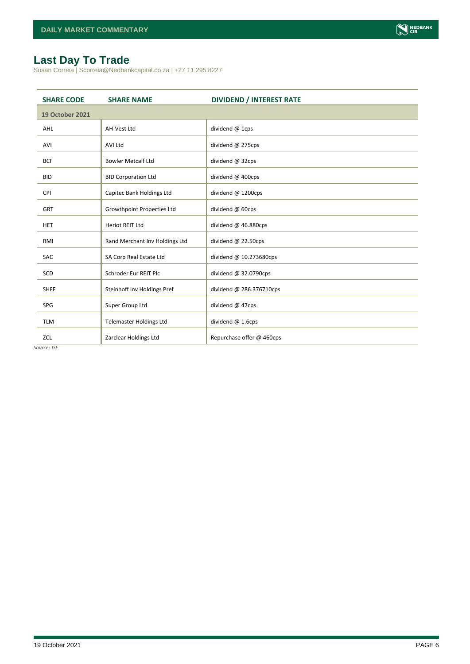

## <span id="page-5-0"></span>**Last Day To Trade**

Susan Correia | Scorreia@Nedbankcapital.co.za | +27 11 295 8227

| <b>SHARE CODE</b>      | <b>SHARE NAME</b>              | <b>DIVIDEND / INTEREST RATE</b> |
|------------------------|--------------------------------|---------------------------------|
| <b>19 October 2021</b> |                                |                                 |
| <b>AHL</b>             | AH-Vest Ltd                    | dividend @ 1cps                 |
| AVI                    | <b>AVI Ltd</b>                 | dividend @ 275cps               |
| <b>BCF</b>             | <b>Bowler Metcalf Ltd</b>      | dividend @ 32cps                |
| <b>BID</b>             | <b>BID Corporation Ltd</b>     | dividend @ 400cps               |
| <b>CPI</b>             | Capitec Bank Holdings Ltd      | dividend @ 1200cps              |
| <b>GRT</b>             | Growthpoint Properties Ltd     | dividend @ 60cps                |
| <b>HET</b>             | Heriot REIT Ltd                | dividend @ 46.880cps            |
| RMI                    | Rand Merchant Inv Holdings Ltd | dividend @ 22.50cps             |
| SAC                    | SA Corp Real Estate Ltd        | dividend @ 10.273680cps         |
| SCD                    | Schroder Eur REIT Plc          | dividend $@32.0790cps$          |
| <b>SHFF</b>            | Steinhoff Inv Holdings Pref    | dividend @ 286.376710cps        |
| SPG                    | Super Group Ltd                | dividend @ 47cps                |
| <b>TLM</b>             | <b>Telemaster Holdings Ltd</b> | dividend @ 1.6cps               |
| ZCL                    | Zarclear Holdings Ltd          | Repurchase offer @ 460cps       |

*Source: JSE*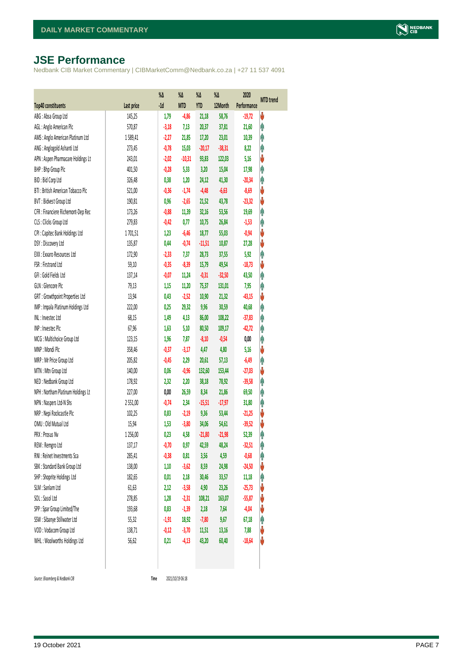## <span id="page-6-0"></span>**JSE Performance**

Nedbank CIB Market Commentary | CIBMarketComm@Nedbank.co.za | +27 11 537 4091

|                                    |            | $\%$ $\Delta$ | %Δ         | %Δ         | %Δ       | 2020        | <b>MTD</b> trend |
|------------------------------------|------------|---------------|------------|------------|----------|-------------|------------------|
| <b>Top40 constituents</b>          | Last price | $-1d$         | <b>MTD</b> | <b>YTD</b> | 12Month  | Performance |                  |
| ABG: Absa Group Ltd                | 145,25     | 1,79          | $-4,86$    | 21,18      | 58,76    | $-19,72$    | V                |
| AGL: Anglo American Plc            | 570,87     | $-3,18$       | 7,13       | 20,37      | 37,81    | 21,60       | φ                |
| AMS: Anglo American Platinum Ltd   | 1589,41    | $-2,27$       | 21,85      | 17,20      | 23,01    | 10,39       | φ                |
| ANG: Anglogold Ashanti Ltd         | 273,45     | $-0,78$       | 15,03      | $-20,17$   | $-38,31$ | 8,22        | φ                |
| APN : Aspen Pharmacare Holdings Lt | 243,01     | $-2,02$       | $-10,31$   | 93,83      | 122,03   | 5,16        | V                |
| BHP: Bhp Group Plc                 | 401,50     | $-0,28$       | 5,33       | 3,20       | 15,04    | 17,98       | φ                |
| BID: Bid Corp Ltd                  | 326,48     | 0,38          | 1,20       | 24,12      | 41,30    | $-20,34$    | φ                |
| BTI: British American Tobacco Plc  | 521,00     | $-0,36$       | $-1,74$    | $-4,48$    | $-6,63$  | $-8,69$     | V                |
| BVT: Bidvest Group Ltd             | 190,81     | 0,96          | $-2,65$    | 21,52      | 43,78    | $-23,32$    | V                |
| CFR : Financiere Richemont-Dep Rec | 173,26     | $-0,88$       | 11,39      | 32,16      | 53,56    | 19,69       | φ                |
| CLS : Clicks Group Ltd             | 279,83     | $-0,42$       | 0,77       | 10,75      | 26,84    | $-1,53$     | φ                |
| CPI : Capitec Bank Holdings Ltd    | 1701,51    | 1,23          | $-6,46$    | 18,77      | 55,03    | $-0,94$     | ψ                |
| DSY: Discovery Ltd                 | 135,87     | 0,44          | $-0,74$    | $-11,51$   | 10,87    | 27,28       | V                |
| EXX : Exxaro Resources Ltd         | 172,90     | $-2,33$       | 7,37       | 28,73      | 37,55    | 5,92        | φ                |
| FSR: Firstrand Ltd                 | 59,10      | $-0,35$       | $-8,39$    | 15,79      | 49,54    | $-18,73$    | ψ                |
| GFI: Gold Fields Ltd               | 137,14     | $-0,07$       | 11,24      | $-0,31$    | $-32,50$ | 43,50       | φ                |
| GLN : Glencore Plc                 | 79,13      | 1,15          | 11,20      | 75,37      | 131,01   | 7,95        | φ                |
| GRT : Growthpoint Properties Ltd   | 13,94      | 0,43          | $-2,52$    | 10,90      | 21,32    | $-43,15$    | V                |
| IMP : Impala Platinum Holdings Ltd | 222,00     | 0,25          | 29,32      | 9,96       | 30,59    | 40,68       | φ                |
| INL: Investec Ltd                  | 68,15      | 1,49          | 4,13       | 86,00      | 108,22   | $-37,83$    | φ                |
| INP: Invested Plc                  | 67,96      | 1,63          | 5,10       | 80,50      | 109,17   | $-42,72$    | Λ                |
| MCG: Multichoice Group Ltd         | 123,15     | 1,96          | 7,87       | $-8,10$    | $-0,54$  | 0,00        | φ                |
| MNP: Mondi Plc                     | 358,46     | $-0,37$       | $-3,17$    | 4,47       | 4,80     | 5,16        | ψ                |
| MRP : Mr Price Group Ltd           | 205,82     | $-0,45$       | 2,29       | 20,61      | 57,13    | $-6,49$     | φ                |
| MTN: Mtn Group Ltd                 | 140,00     | 0,06          | $-0,96$    | 132,60     | 153,44   | $-27,03$    | ψ                |
| NED : Nedbank Group Ltd            | 178,92     | 2,32          | 2,20       | 38,18      | 78,92    | $-39,58$    | φ                |
| NPH : Northam Platinum Holdings Lt | 227,00     | 0,00          | 26,59      | 8,34       | 21,86    | 69,50       | φ                |
| NPN : Naspers Ltd-N Shs            | 2 5 5 1,00 | $-0,74$       | 2,34       | $-15,51$   | $-17,97$ | 31,80       | φ                |
| NRP : Nepi Rockcastle Plc          | 102,25     | 0,83          | $-2,19$    | 9,36       | 53,44    | $-21,25$    | V                |
| OMU: Old Mutual Ltd                | 15,94      | 1,53          | $-3,80$    | 34,06      | 54,61    | $-39,52$    | ψ                |
| PRX: Prosus Nv                     | 1 256,00   | 0,23          | 4,58       | $-21,80$   | $-21,98$ | 52,39       | φ                |
| REM : Remgro Ltd                   | 137,17     | $-0,70$       | 0,97       | 42,59      | 48,24    | $-32,51$    | f                |
| RNI : Reinet Investments Sca       | 285,41     | $-0,38$       | 0,81       | 3,56       | 4,59     | $-0,68$     | φ                |
| SBK: Standard Bank Group Ltd       | 138,00     | 1,10          | $-3,62$    | 8,59       | 24,98    | $-24,50$    | ψ                |
| SHP: Shoprite Holdings Ltd         | 182,65     | 0,01          | 2,18       | 30,46      | 33,57    | 11,18       | φ                |
| SLM : Sanlam Ltd                   | 61,63      | 2,12          | $-3,58$    | 4,90       | 23,26    | $-25,73$    | ψ                |
| SOL: Sasol Ltd                     | 278,85     | 1,28          | $-2,31$    | 108,21     | 163,07   | $-55,87$    | ψ                |
| SPP: Spar Group Limited/The        | 193,68     | 0,83          | $-1,39$    | 2,18       | 7,64     | $-4,04$     | ψ                |
| SSW : Sibanye Stillwater Ltd       | 55,32      | $-1,91$       | 18,92      | $-7,80$    | 9,67     | 67,18       | φ                |
| VOD: Vodacom Group Ltd             | 138,71     | $-0,12$       | $-3,70$    | 11,51      | 13,16    | 7,88        | V                |
| WHL: Woolworths Holdings Ltd       | 56,62      | 0,21          | $-4,13$    | 43,20      | 60,40    | $-18,64$    | V                |
|                                    |            |               |            |            |          |             |                  |

 $Source: Bloomberg & Nedbank *CB*$ 

Time 2021/10/19 06:18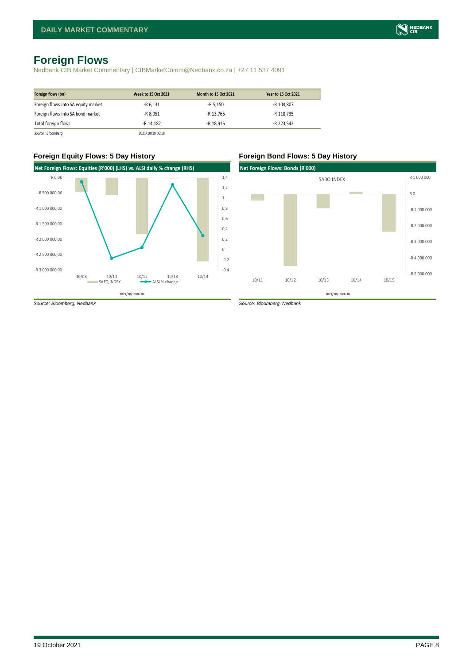## <span id="page-7-0"></span>**Foreign Flows**

Nedbank CIB Market Commentary | CIBMarketComm@Nedbank.co.za | +27 11 537 4091

| Foreign flows (bn)                  | Week to 15 Oct 2021 | <b>Month to 15 Oct 2021</b> | Year to 15 Oct 2021 |
|-------------------------------------|---------------------|-----------------------------|---------------------|
| Foreign flows into SA equity market | $-R$ 6.131          | $-R 5.150$                  | -R 104.807          |
| Foreign flows into SA bond market   | -R 8.051            | -R 13.765                   | -R 118.735          |
| Total foreign flows                 | -R 14.182           | -R 18.915                   | -R 223.542          |
| Source : Bloomberg                  | 2021/10/19 06:18    |                             |                     |



### **Foreign Equity Flows: 5 Day History Foreign Bond Flows: 5 Day History**

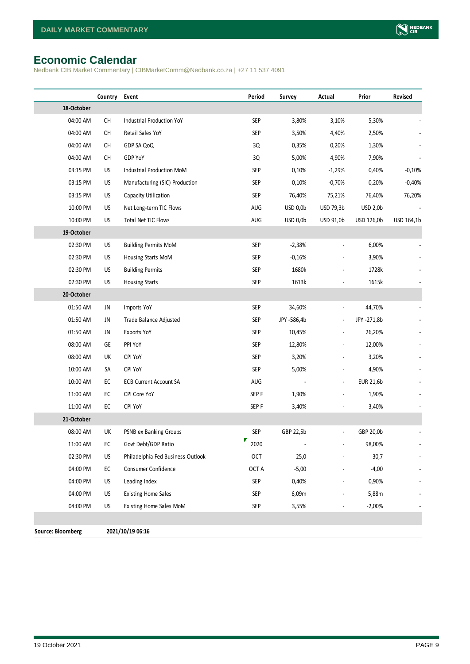## <span id="page-8-0"></span>**Economic Calendar**

Nedbank CIB Market Commentary | CIBMarketComm@Nedbank.co.za | +27 11 537 4091

|                          | Country       | Event                             | Period           | Survey      | Actual                   | Prior           | Revised    |
|--------------------------|---------------|-----------------------------------|------------------|-------------|--------------------------|-----------------|------------|
| 18-October               |               |                                   |                  |             |                          |                 |            |
| 04:00 AM                 | CH            | Industrial Production YoY         | SEP              | 3,80%       | 3,10%                    | 5,30%           |            |
| 04:00 AM                 | CH            | Retail Sales YoY                  | <b>SEP</b>       | 3,50%       | 4,40%                    | 2,50%           |            |
| 04:00 AM                 | CH            | GDP SA QoQ                        | 3Q               | 0,35%       | 0,20%                    | 1,30%           |            |
| 04:00 AM                 | CH            | GDP YoY                           | 3Q               | 5,00%       | 4,90%                    | 7,90%           |            |
| 03:15 PM                 | US            | Industrial Production MoM         | <b>SEP</b>       | 0,10%       | $-1,29%$                 | 0,40%           | $-0,10%$   |
| 03:15 PM                 | US            | Manufacturing (SIC) Production    | <b>SEP</b>       | 0,10%       | $-0,70%$                 | 0,20%           | $-0,40%$   |
| 03:15 PM                 | US            | Capacity Utilization              | SEP              | 76,40%      | 75,21%                   | 76,40%          | 76,20%     |
| 10:00 PM                 | US            | Net Long-term TIC Flows           | AUG              | USD 0,0b    | USD 79,3b                | <b>USD 2,0b</b> |            |
| 10:00 PM                 | US            | Total Net TIC Flows               | AUG              | USD 0,0b    | USD 91,0b                | USD 126,0b      | USD 164,1b |
| 19-October               |               |                                   |                  |             |                          |                 |            |
| 02:30 PM                 | US            | <b>Building Permits MoM</b>       | SEP              | $-2,38%$    |                          | 6,00%           |            |
| 02:30 PM                 | US            | Housing Starts MoM                | <b>SEP</b>       | $-0,16%$    |                          | 3,90%           |            |
| 02:30 PM                 | US            | <b>Building Permits</b>           | <b>SEP</b>       | 1680k       |                          | 1728k           |            |
| 02:30 PM                 | US            | <b>Housing Starts</b>             | <b>SEP</b>       | 1613k       |                          | 1615k           |            |
| 20-October               |               |                                   |                  |             |                          |                 |            |
| 01:50 AM                 | JN            | Imports YoY                       | <b>SEP</b>       | 34,60%      | $\overline{\phantom{a}}$ | 44,70%          |            |
| 01:50 AM                 | JN            | Trade Balance Adjusted            | <b>SEP</b>       | JPY -586,4b | $\overline{\phantom{a}}$ | JPY -271,8b     |            |
| 01:50 AM                 | JN            | Exports YoY                       | <b>SEP</b>       | 10,45%      | $\overline{\phantom{a}}$ | 26,20%          |            |
| 08:00 AM                 | GE            | PPI YoY                           | SEP              | 12,80%      |                          | 12,00%          |            |
| 08:00 AM                 | UK            | CPI YoY                           | <b>SEP</b>       | 3,20%       |                          | 3,20%           |            |
| 10:00 AM                 | SA            | CPI YoY                           | <b>SEP</b>       | 5,00%       |                          | 4,90%           |            |
| 10:00 AM                 | EC            | <b>ECB Current Account SA</b>     | AUG              |             |                          | EUR 21,6b       |            |
| 11:00 AM                 | EC            | CPI Core YoY                      | SEP <sub>F</sub> | 1,90%       |                          | 1,90%           |            |
| 11:00 AM                 | $\mathsf{EC}$ | CPI YoY                           | SEP <sub>F</sub> | 3,40%       |                          | 3,40%           |            |
| 21-October               |               |                                   |                  |             |                          |                 |            |
| 08:00 AM                 | UK            | PSNB ex Banking Groups            | SEP              | GBP 22,5b   | $\overline{\phantom{a}}$ | GBP 20,0b       |            |
| 11:00 AM                 | EC            | Govt Debt/GDP Ratio               | Γ<br>2020        |             |                          | 98,00%          |            |
| 02:30 PM                 | US            | Philadelphia Fed Business Outlook | <b>OCT</b>       | 25,0        |                          | 30,7            |            |
| 04:00 PM                 | EC            | Consumer Confidence               | OCT A            | $-5,00$     |                          | $-4,00$         |            |
| 04:00 PM                 | US            | Leading Index                     | <b>SEP</b>       | 0,40%       |                          | 0,90%           |            |
| 04:00 PM                 | US            | <b>Existing Home Sales</b>        | <b>SEP</b>       | 6,09m       |                          | 5,88m           |            |
| 04:00 PM                 | US            | Existing Home Sales MoM           | SEP              | 3,55%       |                          | $-2,00\%$       |            |
|                          |               |                                   |                  |             |                          |                 |            |
| <b>Source: Bloomberg</b> |               | 2021/10/19 06:16                  |                  |             |                          |                 |            |